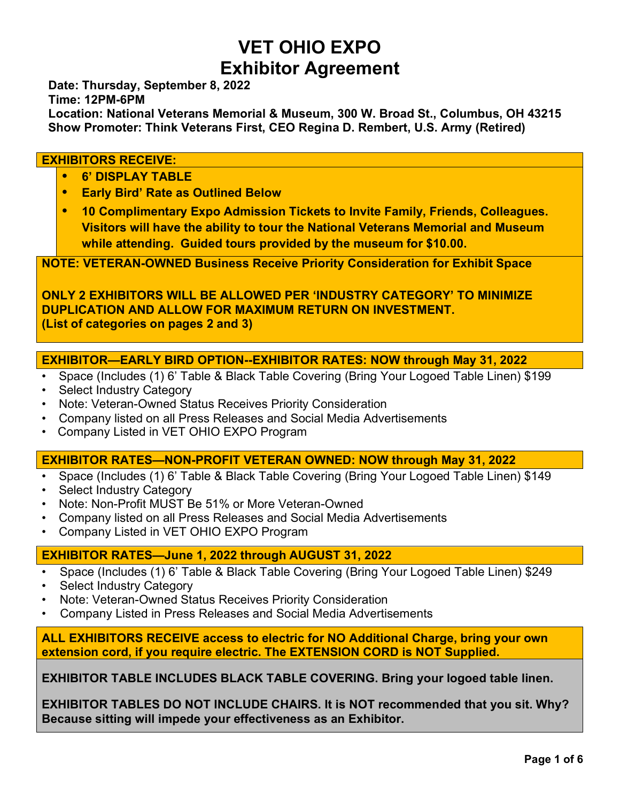# **VET OHIO EXPO Exhibitor Agreement**

**Date: Thursday, September 8, 2022**

**Time: 12PM-6PM**

**Location: National Veterans Memorial & Museum, 300 W. Broad St., Columbus, OH 43215 Show Promoter: Think Veterans First, CEO Regina D. Rembert, U.S. Army (Retired)**

#### **EXHIBITORS RECEIVE:**

- **• 6' DISPLAY TABLE**
- **• Early Bird' Rate as Outlined Below**
- **• 10 Complimentary Expo Admission Tickets to Invite Family, Friends, Colleagues. Visitors will have the ability to tour the National Veterans Memorial and Museum while attending. Guided tours provided by the museum for \$10.00.**

**NOTE: VETERAN-OWNED Business Receive Priority Consideration for Exhibit Space**

**ONLY 2 EXHIBITORS WILL BE ALLOWED PER 'INDUSTRY CATEGORY' TO MINIMIZE DUPLICATION AND ALLOW FOR MAXIMUM RETURN ON INVESTMENT. (List of categories on pages 2 and 3)**

#### **EXHIBITOR—EARLY BIRD OPTION--EXHIBITOR RATES: NOW through May 31, 2022**

- Space (Includes (1) 6' Table & Black Table Covering (Bring Your Logoed Table Linen) \$199
- Select Industry Category
- Note: Veteran-Owned Status Receives Priority Consideration
- Company listed on all Press Releases and Social Media Advertisements
- Company Listed in VET OHIO EXPO Program

#### **EXHIBITOR RATES—NON-PROFIT VETERAN OWNED: NOW through May 31, 2022**

- Space (Includes (1) 6' Table & Black Table Covering (Bring Your Logoed Table Linen) \$149
- Select Industry Category
- Note: Non-Profit MUST Be 51% or More Veteran-Owned
- Company listed on all Press Releases and Social Media Advertisements
- Company Listed in VET OHIO EXPO Program

#### **EXHIBITOR RATES—June 1, 2022 through AUGUST 31, 2022**

- Space (Includes (1) 6' Table & Black Table Covering (Bring Your Logoed Table Linen) \$249
- Select Industry Category
- Note: Veteran-Owned Status Receives Priority Consideration
- Company Listed in Press Releases and Social Media Advertisements

**ALL EXHIBITORS RECEIVE access to electric for NO Additional Charge, bring your own extension cord, if you require electric. The EXTENSION CORD is NOT Supplied.**

**EXHIBITOR TABLE INCLUDES BLACK TABLE COVERING. Bring your logoed table linen.**

**EXHIBITOR TABLES DO NOT INCLUDE CHAIRS. It is NOT recommended that you sit. Why? Because sitting will impede your effectiveness as an Exhibitor.**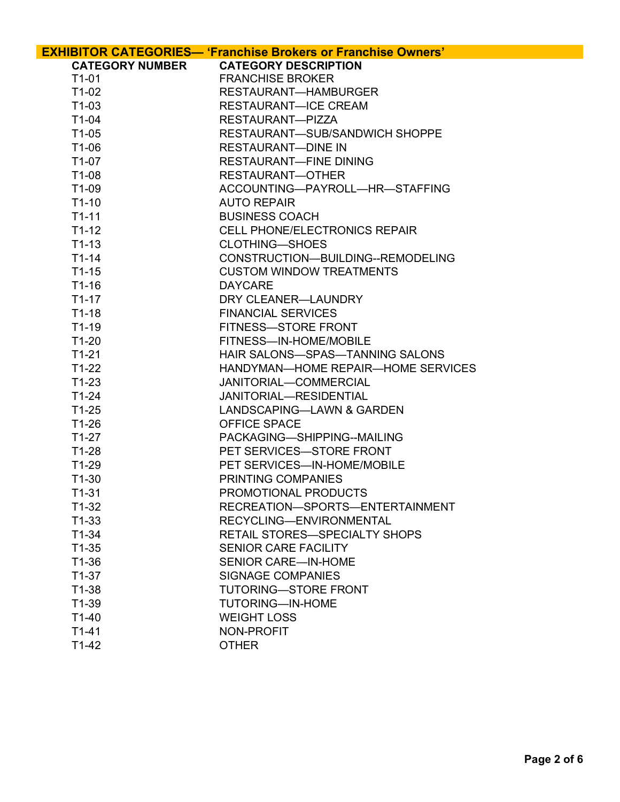|                        | <b>EXHIBITOR CATEGORIES- 'Franchise Brokers or Franchise Owners'</b> |
|------------------------|----------------------------------------------------------------------|
| <b>CATEGORY NUMBER</b> | <b>CATEGORY DESCRIPTION</b>                                          |
| $T1-01$                | <b>FRANCHISE BROKER</b>                                              |
| $T1-02$                | RESTAURANT-HAMBURGER                                                 |
| $T1-03$                | <b>RESTAURANT-ICE CREAM</b>                                          |
| $T1-04$                | RESTAURANT-PIZZA                                                     |
| $T1-05$                | RESTAURANT-SUB/SANDWICH SHOPPE                                       |
| T1-06                  | <b>RESTAURANT-DINE IN</b>                                            |
| $T1-07$                | <b>RESTAURANT-FINE DINING</b>                                        |
| $T1-08$                | RESTAURANT-OTHER                                                     |
| T1-09                  | ACCOUNTING-PAYROLL-HR-STAFFING                                       |
| $T1-10$                | <b>AUTO REPAIR</b>                                                   |
| $T1-11$                | <b>BUSINESS COACH</b>                                                |
| $T1-12$                | <b>CELL PHONE/ELECTRONICS REPAIR</b>                                 |
| $T1-13$                | <b>CLOTHING-SHOES</b>                                                |
| $T1-14$                | CONSTRUCTION-BUILDING--REMODELING                                    |
| $T1-15$                | <b>CUSTOM WINDOW TREATMENTS</b>                                      |
| $T1-16$                | <b>DAYCARE</b>                                                       |
| $T1-17$                | DRY CLEANER-LAUNDRY                                                  |
| $T1-18$                | <b>FINANCIAL SERVICES</b>                                            |
| $T1-19$                | FITNESS-STORE FRONT                                                  |
| $T1-20$                | FITNESS-IN-HOME/MOBILE                                               |
| $T1-21$                | HAIR SALONS-SPAS-TANNING SALONS                                      |
| $T1-22$                | HANDYMAN-HOME REPAIR-HOME SERVICES                                   |
| $T1-23$                | JANITORIAL-COMMERCIAL                                                |
| $T1-24$                | JANITORIAL-RESIDENTIAL                                               |
| $T1-25$                | LANDSCAPING-LAWN & GARDEN                                            |
| $T1-26$                | <b>OFFICE SPACE</b>                                                  |
| $T1-27$                | PACKAGING-SHIPPING--MAILING                                          |
| $T1-28$                | PET SERVICES-STORE FRONT                                             |
| $T1-29$                | PET SERVICES-IN-HOME/MOBILE                                          |
| $T1-30$                | PRINTING COMPANIES                                                   |
| $T1-31$                | PROMOTIONAL PRODUCTS                                                 |
| $T1-32$                | RECREATION-SPORTS-ENTERTAINMENT                                      |
| $T1-33$                | RECYCLING-ENVIRONMENTAL<br>RETAIL STORES-SPECIALTY SHOPS             |
| $T1-34$<br>$T1-35$     |                                                                      |
| $T1-36$                | <b>SENIOR CARE FACILITY</b><br><b>SENIOR CARE—IN-HOME</b>            |
| $T1-37$                | <b>SIGNAGE COMPANIES</b>                                             |
| $T1-38$                | <b>TUTORING-STORE FRONT</b>                                          |
| $T1-39$                | <b>TUTORING-IN-HOME</b>                                              |
| $T1-40$                | <b>WEIGHT LOSS</b>                                                   |
| $T1-41$                | NON-PROFIT                                                           |
| $T1-42$                | <b>OTHER</b>                                                         |
|                        |                                                                      |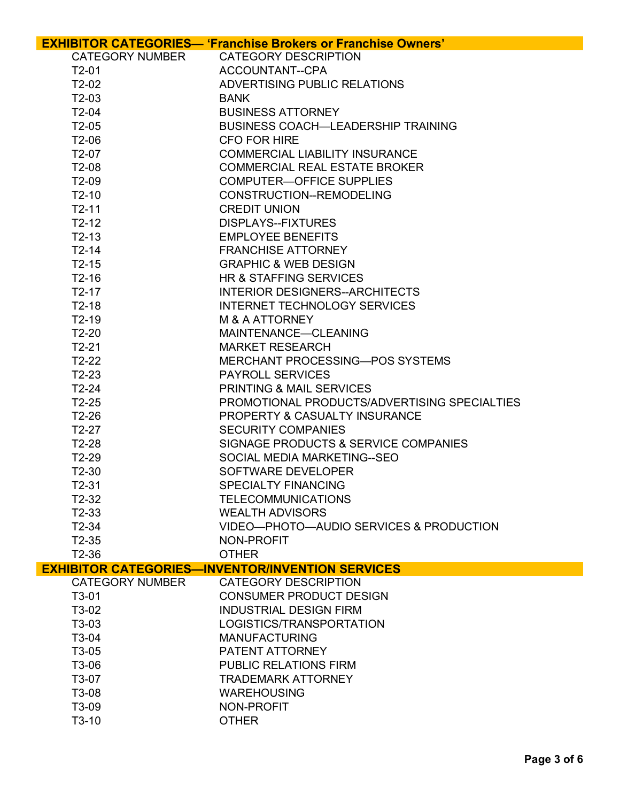|                        | <b>EXHIBITOR CATEGORIES— 'Franchise Brokers or Franchise Owners'</b> |
|------------------------|----------------------------------------------------------------------|
| <b>CATEGORY NUMBER</b> | <b>CATEGORY DESCRIPTION</b>                                          |
| $T2-01$                | ACCOUNTANT--CPA                                                      |
| $T2-02$                | ADVERTISING PUBLIC RELATIONS                                         |
| $T2-03$                | <b>BANK</b>                                                          |
| $T2-04$                | <b>BUSINESS ATTORNEY</b>                                             |
| $T2-05$                | <b>BUSINESS COACH—LEADERSHIP TRAINING</b>                            |
| $T2-06$                | <b>CFO FOR HIRE</b>                                                  |
| $T2-07$                | <b>COMMERCIAL LIABILITY INSURANCE</b>                                |
| $T2-08$                | <b>COMMERCIAL REAL ESTATE BROKER</b>                                 |
| $T2-09$                | <b>COMPUTER-OFFICE SUPPLIES</b>                                      |
| $T2-10$                | CONSTRUCTION--REMODELING                                             |
| $T2-11$                | <b>CREDIT UNION</b>                                                  |
| $T2-12$                | <b>DISPLAYS--FIXTURES</b>                                            |
| $T2-13$                | <b>EMPLOYEE BENEFITS</b>                                             |
| $T2-14$                | <b>FRANCHISE ATTORNEY</b>                                            |
| $T2-15$                | <b>GRAPHIC &amp; WEB DESIGN</b>                                      |
| $T2-16$                | HR & STAFFING SERVICES                                               |
| $T2-17$                | <b>INTERIOR DESIGNERS--ARCHITECTS</b>                                |
| $T2-18$                | <b>INTERNET TECHNOLOGY SERVICES</b>                                  |
| $T2-19$                | <b>M &amp; A ATTORNEY</b>                                            |
| $T2-20$                | MAINTENANCE-CLEANING                                                 |
| $T2-21$                | <b>MARKET RESEARCH</b>                                               |
| $T2-22$                | MERCHANT PROCESSING-POS SYSTEMS                                      |
| $T2-23$                | <b>PAYROLL SERVICES</b>                                              |
| $T2-24$                | PRINTING & MAIL SERVICES                                             |
| $T2-25$                | PROMOTIONAL PRODUCTS/ADVERTISING SPECIALTIES                         |
| $T2-26$                | <b>PROPERTY &amp; CASUALTY INSURANCE</b>                             |
| $T2-27$                | <b>SECURITY COMPANIES</b>                                            |
| $T2-28$                | SIGNAGE PRODUCTS & SERVICE COMPANIES                                 |
| $T2-29$                | SOCIAL MEDIA MARKETING--SEO                                          |
| $T2-30$                | SOFTWARE DEVELOPER                                                   |
| $T2-31$                | <b>SPECIALTY FINANCING</b>                                           |
| T2-32                  | <b>TELECOMMUNICATIONS</b>                                            |
| $T2-33$                | <b>WEALTH ADVISORS</b>                                               |
| $T2-34$                | VIDEO-PHOTO-AUDIO SERVICES & PRODUCTION                              |
| $T2-35$                | NON-PROFIT                                                           |
| $T2-36$                | <b>OTHER</b>                                                         |
|                        | <b>EXHIBITOR CATEGORIES-INVENTOR/INVENTION SERVICES</b>              |
| <b>CATEGORY NUMBER</b> | <b>CATEGORY DESCRIPTION</b>                                          |
| $T3-01$                | <b>CONSUMER PRODUCT DESIGN</b>                                       |
| T3-02                  | <b>INDUSTRIAL DESIGN FIRM</b>                                        |
| T3-03                  | LOGISTICS/TRANSPORTATION                                             |
| T3-04                  | <b>MANUFACTURING</b>                                                 |
| T3-05                  | PATENT ATTORNEY                                                      |
| T3-06                  | <b>PUBLIC RELATIONS FIRM</b>                                         |
| T3-07                  | <b>TRADEMARK ATTORNEY</b>                                            |
| T3-08                  | <b>WAREHOUSING</b>                                                   |
| T3-09                  | NON-PROFIT                                                           |
| $T3-10$                | <b>OTHER</b>                                                         |
|                        |                                                                      |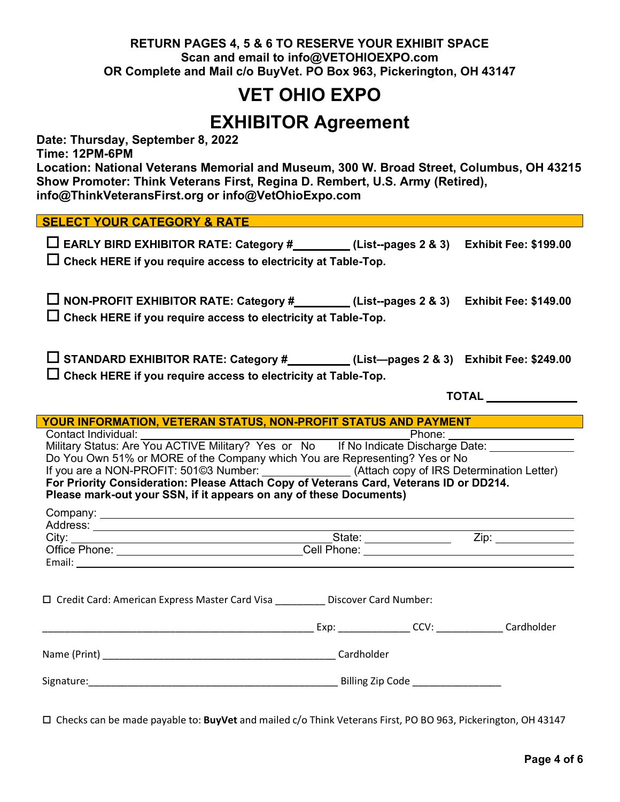#### **RETURN PAGES 4, 5 & 6 TO RESERVE YOUR EXHIBIT SPACE Scan and email to info@VETOHIOEXPO.com OR Complete and Mail c/o BuyVet. PO Box 963, Pickerington, OH 43147**

### **VET OHIO EXPO**

### **EXHIBITOR Agreement**

**Date: Thursday, September 8, 2022**

**Time: 12PM-6PM**

**Location: National Veterans Memorial and Museum, 300 W. Broad Street, Columbus, OH 43215 Show Promoter: Think Veterans First, Regina D. Rembert, U.S. Army (Retired), info@ThinkVeteransFirst.org or info@VetOhioExpo.com**

#### **SELECT YOUR CATEGORY & RATE**

| $\Box$ EARLY BIRD EXHIBITOR RATE: Category #                         | (List--pages 2 & 3) Exhibit Fee: \$199.00 |
|----------------------------------------------------------------------|-------------------------------------------|
| $\Box$ Check HERE if you require access to electricity at Table-Top. |                                           |

o **NON-PROFIT EXHIBITOR RATE: Category # (List--pages 2 & 3) Exhibit Fee: \$149.00**  $\Box$  Check HERE if you require access to electricity at Table-Top.

o **STANDARD EXHIBITOR RATE: Category # (List—pages 2 & 3) Exhibit Fee: \$249.00**  $\square$  Check HERE if you require access to electricity at Table-Top.

**TOTAL** 

| YOUR INFORMATION, VETERAN STATUS, NON-PROFIT STATUS AND PAYMENT                                                                                                                                                                                                                                                                                                                                               |                      |  |  |  |
|---------------------------------------------------------------------------------------------------------------------------------------------------------------------------------------------------------------------------------------------------------------------------------------------------------------------------------------------------------------------------------------------------------------|----------------------|--|--|--|
|                                                                                                                                                                                                                                                                                                                                                                                                               |                      |  |  |  |
|                                                                                                                                                                                                                                                                                                                                                                                                               |                      |  |  |  |
| Do You Own 51% or MORE of the Company which You are Representing? Yes or No                                                                                                                                                                                                                                                                                                                                   |                      |  |  |  |
| If you are a NON-PROFIT: 501@3 Number: _______________(Attach copy of IRS Determination Letter)                                                                                                                                                                                                                                                                                                               |                      |  |  |  |
| For Priority Consideration: Please Attach Copy of Veterans Card, Veterans ID or DD214.                                                                                                                                                                                                                                                                                                                        |                      |  |  |  |
| Please mark-out your SSN, if it appears on any of these Documents)                                                                                                                                                                                                                                                                                                                                            |                      |  |  |  |
|                                                                                                                                                                                                                                                                                                                                                                                                               |                      |  |  |  |
|                                                                                                                                                                                                                                                                                                                                                                                                               |                      |  |  |  |
| City: $\frac{1}{\sqrt{1-\frac{1}{2}}\sqrt{1-\frac{1}{2}}\sqrt{1-\frac{1}{2}}\sqrt{1-\frac{1}{2}}\sqrt{1-\frac{1}{2}}\sqrt{1-\frac{1}{2}}\sqrt{1-\frac{1}{2}}\sqrt{1-\frac{1}{2}}\sqrt{1-\frac{1}{2}}\sqrt{1-\frac{1}{2}}\sqrt{1-\frac{1}{2}}\sqrt{1-\frac{1}{2}}\sqrt{1-\frac{1}{2}}\sqrt{1-\frac{1}{2}}\sqrt{1-\frac{1}{2}}\sqrt{1-\frac{1}{2}}\sqrt{1-\frac{1}{2}}\sqrt{1-\frac{1}{2}}\sqrt{1-\frac{1}{2}}$ |                      |  |  |  |
|                                                                                                                                                                                                                                                                                                                                                                                                               |                      |  |  |  |
|                                                                                                                                                                                                                                                                                                                                                                                                               |                      |  |  |  |
|                                                                                                                                                                                                                                                                                                                                                                                                               |                      |  |  |  |
|                                                                                                                                                                                                                                                                                                                                                                                                               |                      |  |  |  |
| □ Credit Card: American Express Master Card Visa ___________ Discover Card Number:                                                                                                                                                                                                                                                                                                                            |                      |  |  |  |
|                                                                                                                                                                                                                                                                                                                                                                                                               |                      |  |  |  |
|                                                                                                                                                                                                                                                                                                                                                                                                               | Exp: CCV: Cardholder |  |  |  |
|                                                                                                                                                                                                                                                                                                                                                                                                               |                      |  |  |  |
|                                                                                                                                                                                                                                                                                                                                                                                                               |                      |  |  |  |
|                                                                                                                                                                                                                                                                                                                                                                                                               |                      |  |  |  |
|                                                                                                                                                                                                                                                                                                                                                                                                               |                      |  |  |  |
|                                                                                                                                                                                                                                                                                                                                                                                                               |                      |  |  |  |

o Checks can be made payable to: **BuyVet** and mailed c/o Think Veterans First, PO BO 963, Pickerington, OH 43147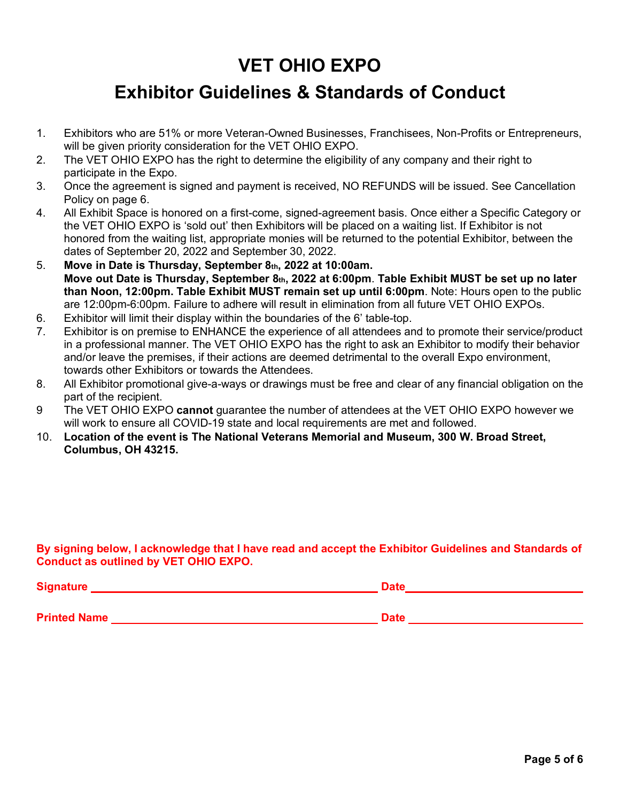## **VET OHIO EXPO**

## **Exhibitor Guidelines & Standards of Conduct**

- 1. Exhibitors who are 51% or more Veteran-Owned Businesses, Franchisees, Non-Profits or Entrepreneurs, will be given priority consideration for the VET OHIO EXPO.
- 2. The VET OHIO EXPO has the right to determine the eligibility of any company and their right to participate in the Expo.
- 3. Once the agreement is signed and payment is received, NO REFUNDS will be issued. See Cancellation Policy on page 6.
- 4. All Exhibit Space is honored on a first-come, signed-agreement basis. Once either a Specific Category or the VET OHIO EXPO is 'sold out' then Exhibitors will be placed on a waiting list. If Exhibitor is not honored from the waiting list, appropriate monies will be returned to the potential Exhibitor, between the dates of September 20, 2022 and September 30, 2022.
- 5. **Move in Date is Thursday, September 8th, 2022 at 10:00am. Move out Date is Thursday, September 8th, 2022 at 6:00pm**. **Table Exhibit MUST be set up no later than Noon, 12:00pm. Table Exhibit MUST remain set up until 6:00pm**. Note: Hours open to the public are 12:00pm-6:00pm. Failure to adhere will result in elimination from all future VET OHIO EXPOs.
- 6. Exhibitor will limit their display within the boundaries of the 6' table-top.
- 7. Exhibitor is on premise to ENHANCE the experience of all attendees and to promote their service/product in a professional manner. The VET OHIO EXPO has the right to ask an Exhibitor to modify their behavior and/or leave the premises, if their actions are deemed detrimental to the overall Expo environment, towards other Exhibitors or towards the Attendees.
- 8. All Exhibitor promotional give-a-ways or drawings must be free and clear of any financial obligation on the part of the recipient.
- 9 The VET OHIO EXPO **cannot** guarantee the number of attendees at the VET OHIO EXPO however we will work to ensure all COVID-19 state and local requirements are met and followed.
- 10. **Location of the event is The National Veterans Memorial and Museum, 300 W. Broad Street, Columbus, OH 43215.**

#### **By signing below, I acknowledge that I have read and accept the Exhibitor Guidelines and Standards of Conduct as outlined by VET OHIO EXPO.**

| <b>Signature</b>    | <b>Date</b> |
|---------------------|-------------|
| <b>Printed Name</b> | <b>Date</b> |